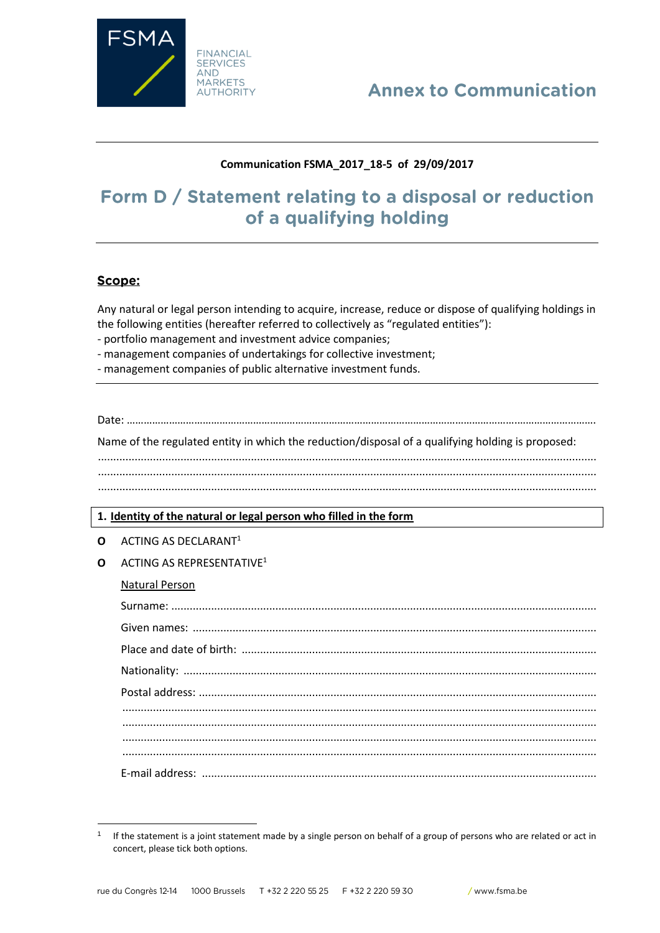

#### Communication FSMA\_2017\_18-5 of 29/09/2017

# Form D / Statement relating to a disposal or reduction of a qualifying holding

#### Scope:

Any natural or legal person intending to acquire, increase, reduce or dispose of qualifying holdings in the following entities (hereafter referred to collectively as "regulated entities"):

- portfolio management and investment advice companies;
- management companies of undertakings for collective investment;
- management companies of public alternative investment funds.

Name of the regulated entity in which the reduction/disposal of a qualifying holding is proposed: 

#### 1. Identity of the natural or legal person who filled in the form

- ACTING AS DECLARANT<sup>1</sup>  $\Omega$
- **ACTING AS REPRESENTATIVE1**  $\mathbf{o}$ 
	- Natural Person

 $\mathbf{1}$ If the statement is a joint statement made by a single person on behalf of a group of persons who are related or act in concert, please tick both options.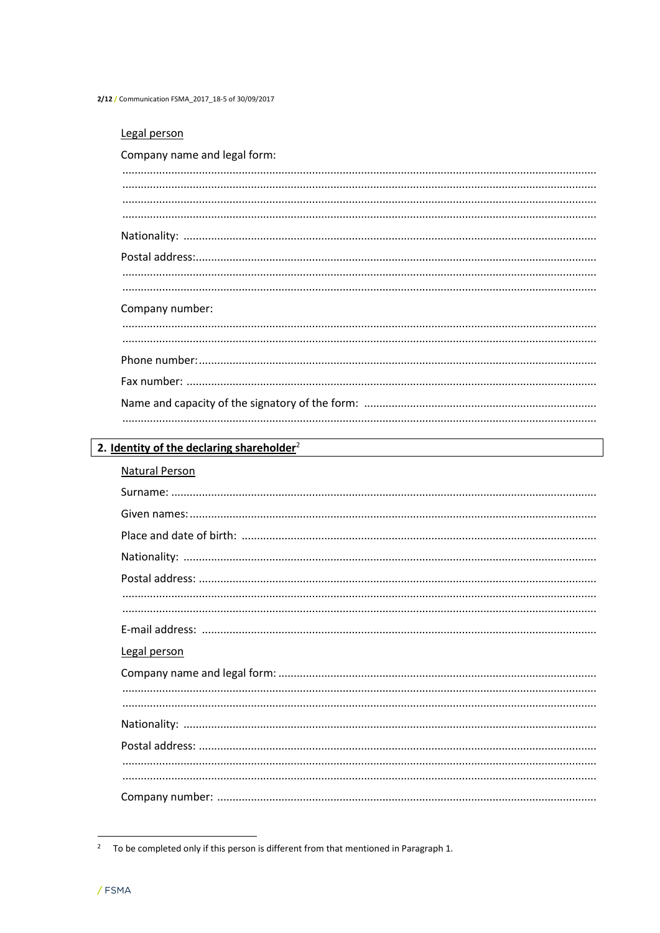2/12 / Communication FSMA\_2017\_18-5 of 30/09/2017

#### Legal person

#### Company name and legal form:

| $\begin{minipage}{0.9\linewidth} \begin{tabular}{l} \hline \textbf{0.01} \end{tabular} \end{minipage} \begin{tabular}{l} \hline \textbf{0.01} \end{tabular} \end{minipage} \begin{tabular}{l} \hline \textbf{0.01} \end{tabular} \end{minipage} \begin{tabular}{l} \hline \textbf{0.01} \end{tabular} \end{minipage} \begin{tabular}{l} \hline \textbf{0.01} \end{tabular} \end{minipage} \begin{tabular}{l} \hline \textbf{0.01} \end{tabular} \end{minipage} \begin{tabular}{l} \$ |
|--------------------------------------------------------------------------------------------------------------------------------------------------------------------------------------------------------------------------------------------------------------------------------------------------------------------------------------------------------------------------------------------------------------------------------------------------------------------------------------|
|                                                                                                                                                                                                                                                                                                                                                                                                                                                                                      |
|                                                                                                                                                                                                                                                                                                                                                                                                                                                                                      |
|                                                                                                                                                                                                                                                                                                                                                                                                                                                                                      |
|                                                                                                                                                                                                                                                                                                                                                                                                                                                                                      |
|                                                                                                                                                                                                                                                                                                                                                                                                                                                                                      |
| $\begin{minipage}{0.9\linewidth} \begin{tabular}{l} \hline \textbf{0.01} \end{tabular} \end{minipage} \begin{tabular}{l} \hline \textbf{1.01} \end{tabular} \end{minipage} \begin{tabular}{l} \hline \textbf{1.01} \end{tabular} \end{minipage} \begin{tabular}{l} \hline \textbf{2.01} \end{tabular} \end{minipage} \begin{tabular}{l} \hline \textbf{3.01} \end{tabular} \end{minipage} \begin{tabular}{l} \hline \textbf{4.01} \end{tabular} \end{minipage} \begin{tabular}{l} \$ |
| Company number:                                                                                                                                                                                                                                                                                                                                                                                                                                                                      |
|                                                                                                                                                                                                                                                                                                                                                                                                                                                                                      |
|                                                                                                                                                                                                                                                                                                                                                                                                                                                                                      |
|                                                                                                                                                                                                                                                                                                                                                                                                                                                                                      |
|                                                                                                                                                                                                                                                                                                                                                                                                                                                                                      |
|                                                                                                                                                                                                                                                                                                                                                                                                                                                                                      |
|                                                                                                                                                                                                                                                                                                                                                                                                                                                                                      |

## 2. Identity of the declaring shareholder<sup>2</sup>

#### **Natural Person**

| Legal person |
|--------------|
|              |
|              |
|              |
|              |
|              |
|              |
|              |

<sup>&</sup>lt;sup>2</sup> To be completed only if this person is different from that mentioned in Paragraph 1.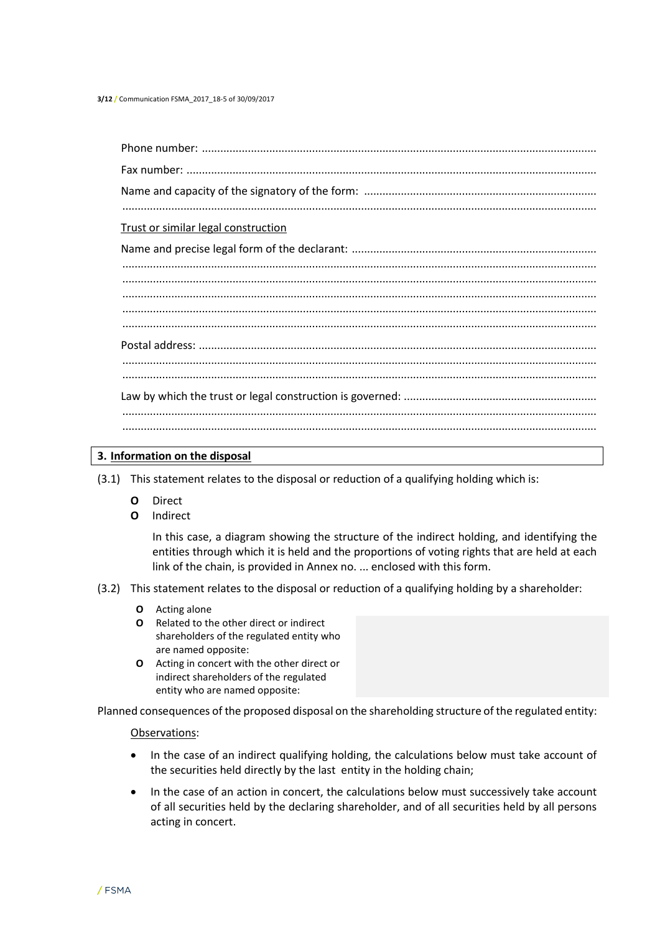| Trust or similar legal construction |
|-------------------------------------|
|                                     |
|                                     |
|                                     |
|                                     |
|                                     |
|                                     |
|                                     |
|                                     |
|                                     |
|                                     |
|                                     |

#### **3. Information on the disposal**

- (3.1) This statement relates to the disposal or reduction of a qualifying holding which is:
	- **O** Direct
	- **O** Indirect

In this case, a diagram showing the structure of the indirect holding, and identifying the entities through which it is held and the proportions of voting rights that are held at each link of the chain, is provided in Annex no. ... enclosed with this form.

- (3.2) This statement relates to the disposal or reduction of a qualifying holding by a shareholder:
	- **O** Acting alone
	- **O** Related to the other direct or indirect shareholders of the regulated entity who are named opposite:
	- **O** Acting in concert with the other direct or indirect shareholders of the regulated entity who are named opposite:

Planned consequences of the proposed disposal on the shareholding structure of the regulated entity:

#### Observations:

- In the case of an indirect qualifying holding, the calculations below must take account of the securities held directly by the last entity in the holding chain;
- In the case of an action in concert, the calculations below must successively take account of all securities held by the declaring shareholder, and of all securities held by all persons acting in concert.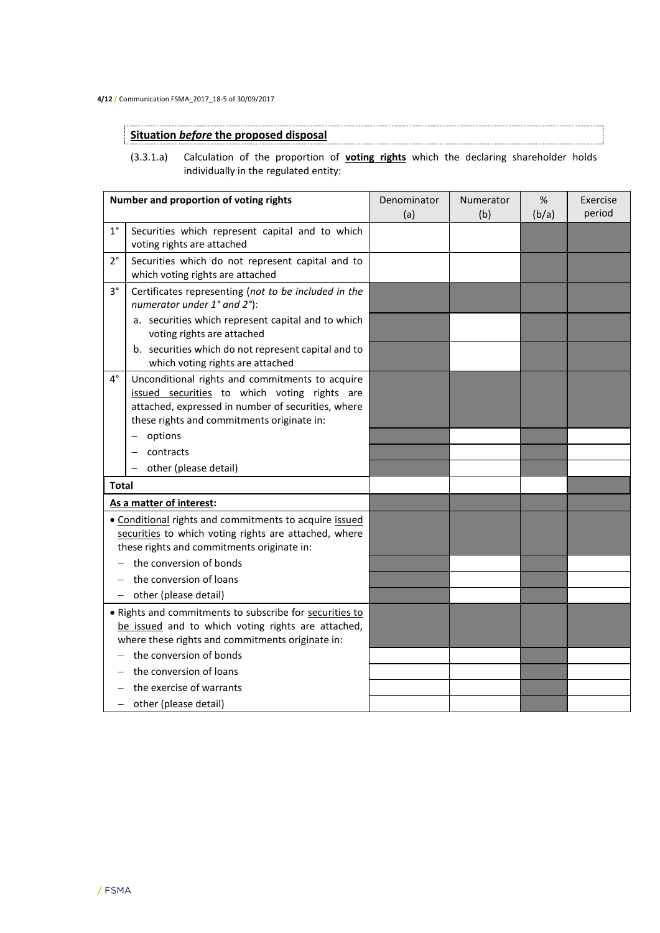#### **Situation** *before* **the proposed disposal**

(3.3.1.a) Calculation of the proportion of **voting rights** which the declaring shareholder holds individually in the regulated entity:

| Number and proportion of voting rights |                                                                                                                                                                                                     | Denominator | Numerator | $\%$  | Exercise |
|----------------------------------------|-----------------------------------------------------------------------------------------------------------------------------------------------------------------------------------------------------|-------------|-----------|-------|----------|
|                                        |                                                                                                                                                                                                     | (a)         | (b)       | (b/a) | period   |
| $1^{\circ}$                            | Securities which represent capital and to which<br>voting rights are attached                                                                                                                       |             |           |       |          |
| $2^{\circ}$                            | Securities which do not represent capital and to<br>which voting rights are attached                                                                                                                |             |           |       |          |
| 3°                                     | Certificates representing (not to be included in the<br>numerator under 1° and 2°):                                                                                                                 |             |           |       |          |
|                                        | a. securities which represent capital and to which<br>voting rights are attached                                                                                                                    |             |           |       |          |
|                                        | b. securities which do not represent capital and to<br>which voting rights are attached                                                                                                             |             |           |       |          |
| 4°                                     | Unconditional rights and commitments to acquire<br>issued securities to which voting rights are<br>attached, expressed in number of securities, where<br>these rights and commitments originate in: |             |           |       |          |
|                                        | options                                                                                                                                                                                             |             |           |       |          |
|                                        | contracts                                                                                                                                                                                           |             |           |       |          |
|                                        | other (please detail)                                                                                                                                                                               |             |           |       |          |
| Total                                  |                                                                                                                                                                                                     |             |           |       |          |
|                                        | As a matter of interest:                                                                                                                                                                            |             |           |       |          |
|                                        | . Conditional rights and commitments to acquire issued<br>securities to which voting rights are attached, where<br>these rights and commitments originate in:                                       |             |           |       |          |
|                                        | the conversion of bonds                                                                                                                                                                             |             |           |       |          |
|                                        | the conversion of loans                                                                                                                                                                             |             |           |       |          |
| $\qquad \qquad -$                      | other (please detail)                                                                                                                                                                               |             |           |       |          |
|                                        | . Rights and commitments to subscribe for securities to<br>be issued and to which voting rights are attached,<br>where these rights and commitments originate in:                                   |             |           |       |          |
|                                        | the conversion of bonds                                                                                                                                                                             |             |           |       |          |
|                                        | the conversion of loans                                                                                                                                                                             |             |           |       |          |
|                                        | the exercise of warrants                                                                                                                                                                            |             |           |       |          |
|                                        | other (please detail)                                                                                                                                                                               |             |           |       |          |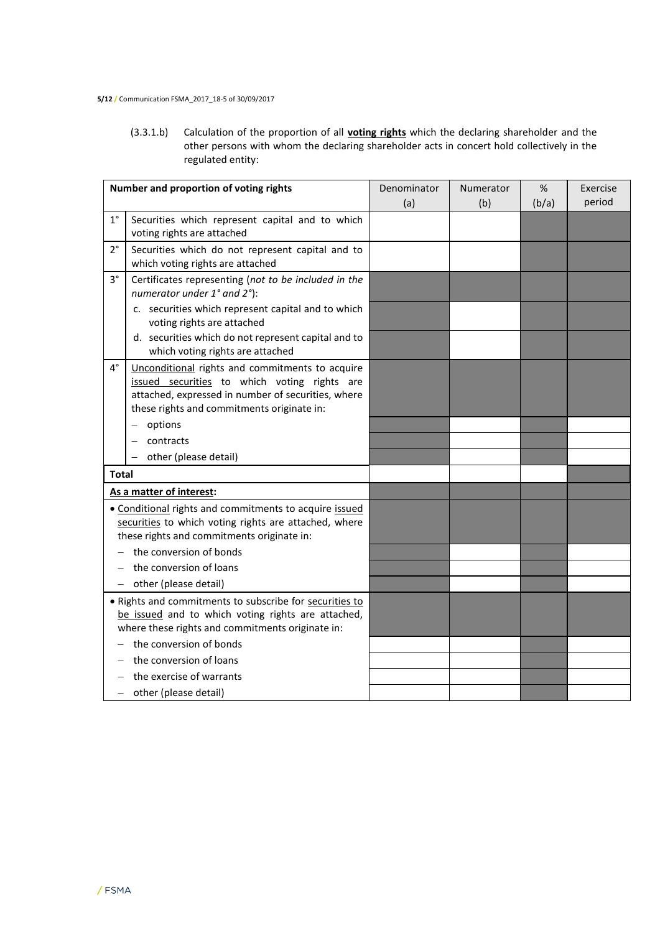(3.3.1.b) Calculation of the proportion of all **voting rights** which the declaring shareholder and the other persons with whom the declaring shareholder acts in concert hold collectively in the regulated entity:

|              | Number and proportion of voting rights                                                                                                                                                              | Denominator | Numerator | $\%$  | Exercise |
|--------------|-----------------------------------------------------------------------------------------------------------------------------------------------------------------------------------------------------|-------------|-----------|-------|----------|
|              |                                                                                                                                                                                                     | (a)         | (b)       | (b/a) | period   |
| $1^{\circ}$  | Securities which represent capital and to which<br>voting rights are attached                                                                                                                       |             |           |       |          |
| $2^{\circ}$  | Securities which do not represent capital and to<br>which voting rights are attached                                                                                                                |             |           |       |          |
| $3^{\circ}$  | Certificates representing (not to be included in the<br>numerator under 1° and 2°):                                                                                                                 |             |           |       |          |
|              | c. securities which represent capital and to which<br>voting rights are attached                                                                                                                    |             |           |       |          |
|              | d. securities which do not represent capital and to<br>which voting rights are attached                                                                                                             |             |           |       |          |
| 4°           | Unconditional rights and commitments to acquire<br>issued securities to which voting rights are<br>attached, expressed in number of securities, where<br>these rights and commitments originate in: |             |           |       |          |
|              | options                                                                                                                                                                                             |             |           |       |          |
|              | contracts                                                                                                                                                                                           |             |           |       |          |
|              | other (please detail)                                                                                                                                                                               |             |           |       |          |
| <b>Total</b> |                                                                                                                                                                                                     |             |           |       |          |
|              | As a matter of interest:                                                                                                                                                                            |             |           |       |          |
|              | • Conditional rights and commitments to acquire issued<br>securities to which voting rights are attached, where<br>these rights and commitments originate in:                                       |             |           |       |          |
|              | the conversion of bonds                                                                                                                                                                             |             |           |       |          |
|              | the conversion of loans                                                                                                                                                                             |             |           |       |          |
| -            | other (please detail)                                                                                                                                                                               |             |           |       |          |
|              | . Rights and commitments to subscribe for securities to<br>be issued and to which voting rights are attached,<br>where these rights and commitments originate in:                                   |             |           |       |          |
|              | the conversion of bonds                                                                                                                                                                             |             |           |       |          |
|              | the conversion of loans                                                                                                                                                                             |             |           |       |          |
|              | the exercise of warrants                                                                                                                                                                            |             |           |       |          |
| $-$          | other (please detail)                                                                                                                                                                               |             |           |       |          |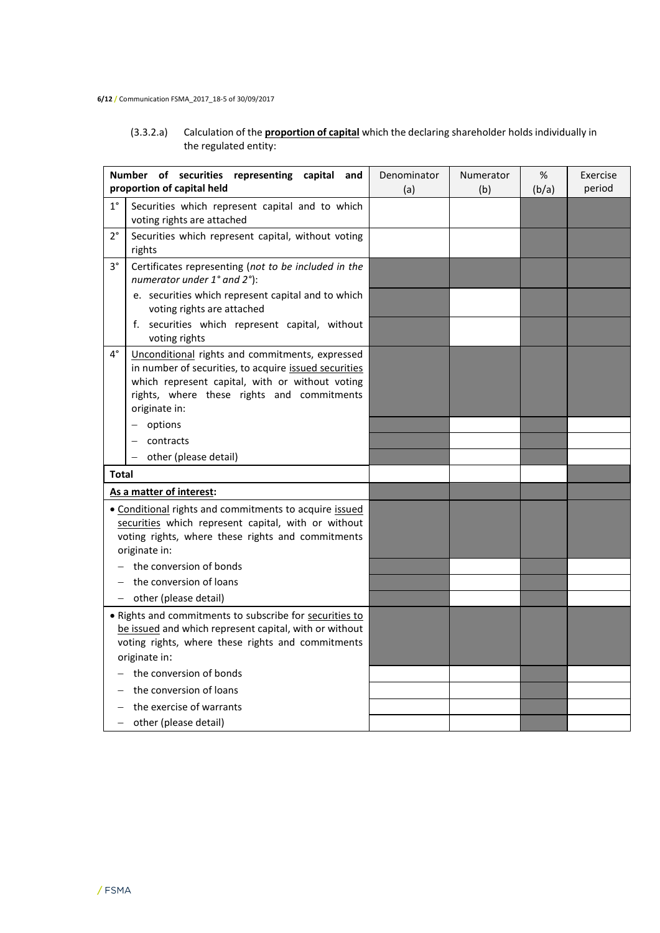(3.3.2.a) Calculation of the **proportion of capital** which the declaring shareholder holds individually in the regulated entity:

| Number of securities representing capital<br>and |                                                                                                                                                                                                                            | Denominator | Numerator | $\%$  | Exercise<br>period |
|--------------------------------------------------|----------------------------------------------------------------------------------------------------------------------------------------------------------------------------------------------------------------------------|-------------|-----------|-------|--------------------|
| $1^{\circ}$                                      | proportion of capital held                                                                                                                                                                                                 | (a)         | (b)       | (b/a) |                    |
|                                                  | Securities which represent capital and to which<br>voting rights are attached                                                                                                                                              |             |           |       |                    |
| $2^{\circ}$                                      | Securities which represent capital, without voting<br>rights                                                                                                                                                               |             |           |       |                    |
| $3^{\circ}$                                      | Certificates representing (not to be included in the<br>numerator under 1° and 2°):                                                                                                                                        |             |           |       |                    |
|                                                  | e. securities which represent capital and to which<br>voting rights are attached                                                                                                                                           |             |           |       |                    |
|                                                  | f. securities which represent capital, without<br>voting rights                                                                                                                                                            |             |           |       |                    |
| 4°                                               | Unconditional rights and commitments, expressed<br>in number of securities, to acquire issued securities<br>which represent capital, with or without voting<br>rights, where these rights and commitments<br>originate in: |             |           |       |                    |
|                                                  | options                                                                                                                                                                                                                    |             |           |       |                    |
|                                                  | contracts                                                                                                                                                                                                                  |             |           |       |                    |
|                                                  | other (please detail)                                                                                                                                                                                                      |             |           |       |                    |
| <b>Total</b>                                     |                                                                                                                                                                                                                            |             |           |       |                    |
|                                                  | As a matter of interest:                                                                                                                                                                                                   |             |           |       |                    |
|                                                  | . Conditional rights and commitments to acquire issued<br>securities which represent capital, with or without<br>voting rights, where these rights and commitments<br>originate in:                                        |             |           |       |                    |
|                                                  | the conversion of bonds                                                                                                                                                                                                    |             |           |       |                    |
|                                                  | the conversion of loans                                                                                                                                                                                                    |             |           |       |                    |
|                                                  | other (please detail)                                                                                                                                                                                                      |             |           |       |                    |
|                                                  | • Rights and commitments to subscribe for securities to<br>be issued and which represent capital, with or without<br>voting rights, where these rights and commitments<br>originate in:                                    |             |           |       |                    |
|                                                  | the conversion of bonds                                                                                                                                                                                                    |             |           |       |                    |
|                                                  | the conversion of loans                                                                                                                                                                                                    |             |           |       |                    |
|                                                  | the exercise of warrants                                                                                                                                                                                                   |             |           |       |                    |
| $-$                                              | other (please detail)                                                                                                                                                                                                      |             |           |       |                    |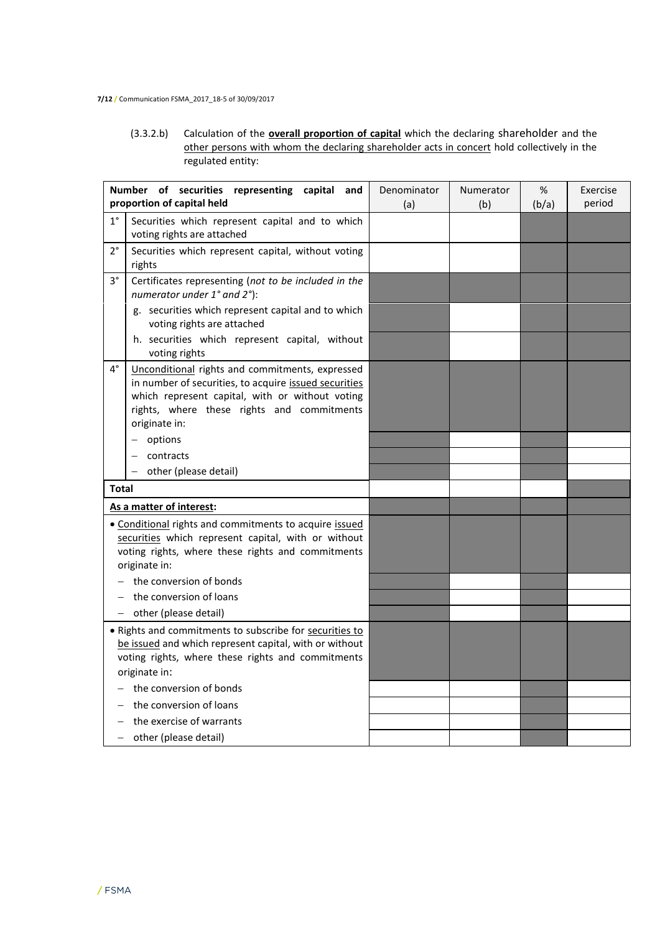(3.3.2.b) Calculation of the **overall proportion of capital** which the declaring shareholder and the other persons with whom the declaring shareholder acts in concert hold collectively in the regulated entity:

|              | Number of securities representing capital and<br>proportion of capital held                                                                                                                                                | Denominator<br>(a) | Numerator<br>(b) | %<br>(b/a) | Exercise<br>period |
|--------------|----------------------------------------------------------------------------------------------------------------------------------------------------------------------------------------------------------------------------|--------------------|------------------|------------|--------------------|
| $1^{\circ}$  | Securities which represent capital and to which<br>voting rights are attached                                                                                                                                              |                    |                  |            |                    |
| 2°           | Securities which represent capital, without voting<br>rights                                                                                                                                                               |                    |                  |            |                    |
| 3°           | Certificates representing (not to be included in the<br>numerator under 1° and 2°):                                                                                                                                        |                    |                  |            |                    |
|              | g. securities which represent capital and to which<br>voting rights are attached                                                                                                                                           |                    |                  |            |                    |
|              | h. securities which represent capital, without<br>voting rights                                                                                                                                                            |                    |                  |            |                    |
| 4°           | Unconditional rights and commitments, expressed<br>in number of securities, to acquire issued securities<br>which represent capital, with or without voting<br>rights, where these rights and commitments<br>originate in: |                    |                  |            |                    |
|              | options                                                                                                                                                                                                                    |                    |                  |            |                    |
|              | contracts                                                                                                                                                                                                                  |                    |                  |            |                    |
|              | other (please detail)                                                                                                                                                                                                      |                    |                  |            |                    |
| <b>Total</b> |                                                                                                                                                                                                                            |                    |                  |            |                    |
|              | As a matter of interest:                                                                                                                                                                                                   |                    |                  |            |                    |
|              | . Conditional rights and commitments to acquire issued<br>securities which represent capital, with or without<br>voting rights, where these rights and commitments<br>originate in:                                        |                    |                  |            |                    |
|              | the conversion of bonds                                                                                                                                                                                                    |                    |                  |            |                    |
|              | the conversion of loans                                                                                                                                                                                                    |                    |                  |            |                    |
|              | other (please detail)                                                                                                                                                                                                      |                    |                  |            |                    |
|              | . Rights and commitments to subscribe for securities to<br>be issued and which represent capital, with or without<br>voting rights, where these rights and commitments<br>originate in:                                    |                    |                  |            |                    |
|              | the conversion of bonds                                                                                                                                                                                                    |                    |                  |            |                    |
|              | the conversion of loans                                                                                                                                                                                                    |                    |                  |            |                    |
|              | the exercise of warrants                                                                                                                                                                                                   |                    |                  |            |                    |
| $-$          | other (please detail)                                                                                                                                                                                                      |                    |                  |            |                    |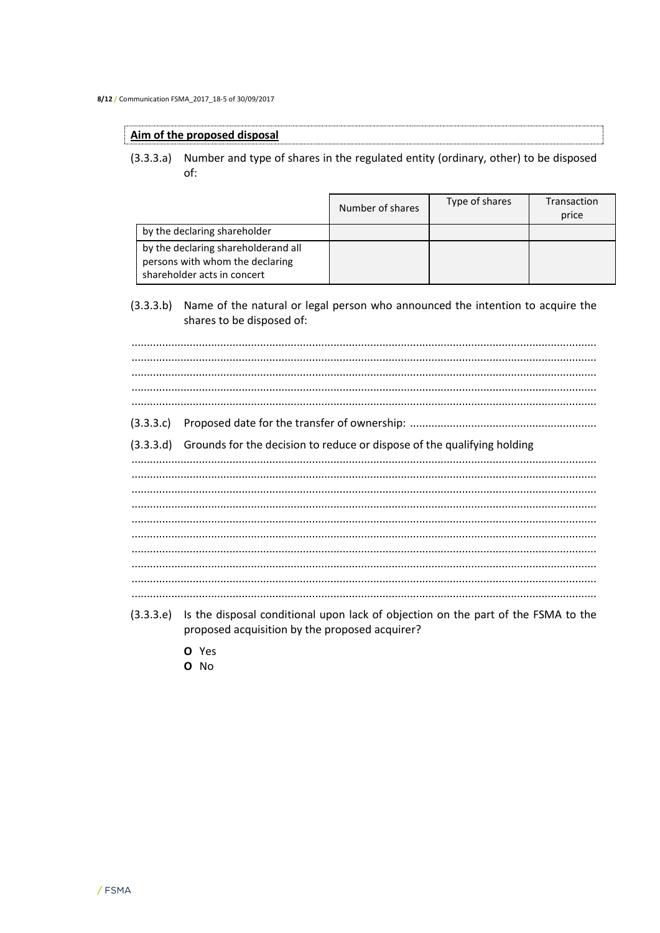#### Aim of the proposed disposal

Number and type of shares in the regulated entity (ordinary, other) to be disposed  $(3.3.3.a)$ of:

|                                                                                                       | Number of shares | Type of shares | Transaction<br>price |
|-------------------------------------------------------------------------------------------------------|------------------|----------------|----------------------|
| by the declaring shareholder                                                                          |                  |                |                      |
| by the declaring shareholderand all<br>persons with whom the declaring<br>shareholder acts in concert |                  |                |                      |

Name of the natural or legal person who announced the intention to acquire the  $(3.3.3.b)$ shares to be disposed of:

 $(3.3.3.c)$ (3.3.3.d) Grounds for the decision to reduce or dispose of the qualifying holding 

- Is the disposal conditional upon lack of objection on the part of the FSMA to the  $(3.3.3.e)$ proposed acquisition by the proposed acquirer?
	- O Yes
	- $O$  No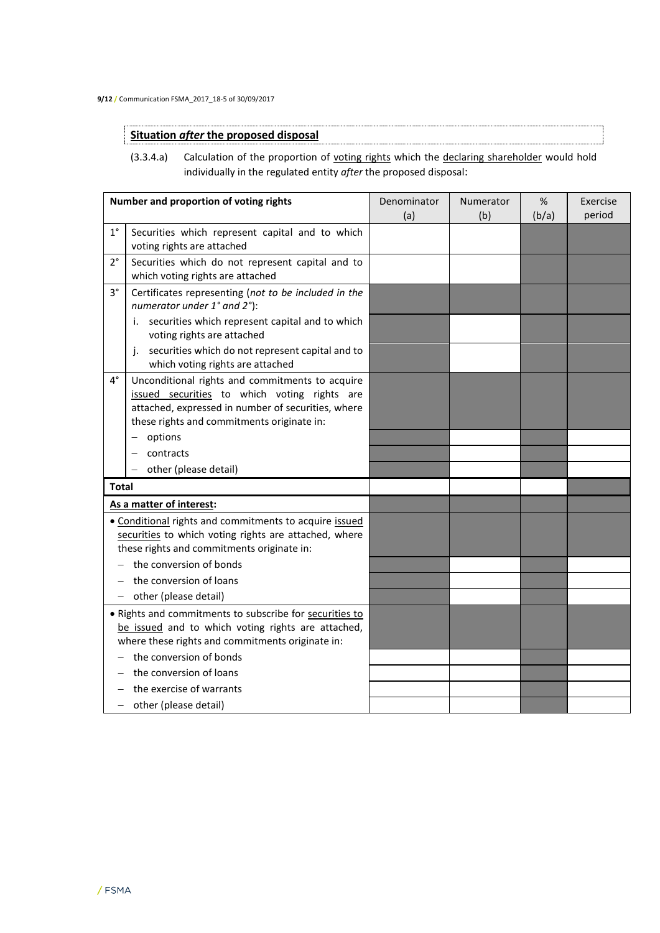#### **Situation** *after* **the proposed disposal**

(3.3.4.a) Calculation of the proportion of voting rights which the declaring shareholder would hold individually in the regulated entity *after* the proposed disposal:

| Number and proportion of voting rights |                                                                                                                                                                                                     | Denominator | Numerator | %     | Exercise |
|----------------------------------------|-----------------------------------------------------------------------------------------------------------------------------------------------------------------------------------------------------|-------------|-----------|-------|----------|
|                                        |                                                                                                                                                                                                     | (a)         | (b)       | (b/a) | period   |
| $1^{\circ}$                            | Securities which represent capital and to which<br>voting rights are attached                                                                                                                       |             |           |       |          |
| $2^{\circ}$                            | Securities which do not represent capital and to<br>which voting rights are attached                                                                                                                |             |           |       |          |
| $3^{\circ}$                            | Certificates representing (not to be included in the<br>numerator under 1° and 2°):                                                                                                                 |             |           |       |          |
|                                        | securities which represent capital and to which<br>i.<br>voting rights are attached                                                                                                                 |             |           |       |          |
|                                        | securities which do not represent capital and to<br>j.<br>which voting rights are attached                                                                                                          |             |           |       |          |
| 4°                                     | Unconditional rights and commitments to acquire<br>issued securities to which voting rights are<br>attached, expressed in number of securities, where<br>these rights and commitments originate in: |             |           |       |          |
|                                        | options                                                                                                                                                                                             |             |           |       |          |
|                                        | contracts                                                                                                                                                                                           |             |           |       |          |
|                                        | other (please detail)                                                                                                                                                                               |             |           |       |          |
| Total                                  |                                                                                                                                                                                                     |             |           |       |          |
|                                        | As a matter of interest:                                                                                                                                                                            |             |           |       |          |
|                                        | · Conditional rights and commitments to acquire issued<br>securities to which voting rights are attached, where<br>these rights and commitments originate in:                                       |             |           |       |          |
|                                        | the conversion of bonds                                                                                                                                                                             |             |           |       |          |
|                                        | the conversion of loans                                                                                                                                                                             |             |           |       |          |
|                                        | other (please detail)                                                                                                                                                                               |             |           |       |          |
|                                        | . Rights and commitments to subscribe for securities to<br>be issued and to which voting rights are attached,<br>where these rights and commitments originate in:                                   |             |           |       |          |
|                                        | the conversion of bonds                                                                                                                                                                             |             |           |       |          |
|                                        | the conversion of loans                                                                                                                                                                             |             |           |       |          |
|                                        | the exercise of warrants                                                                                                                                                                            |             |           |       |          |
|                                        | other (please detail)                                                                                                                                                                               |             |           |       |          |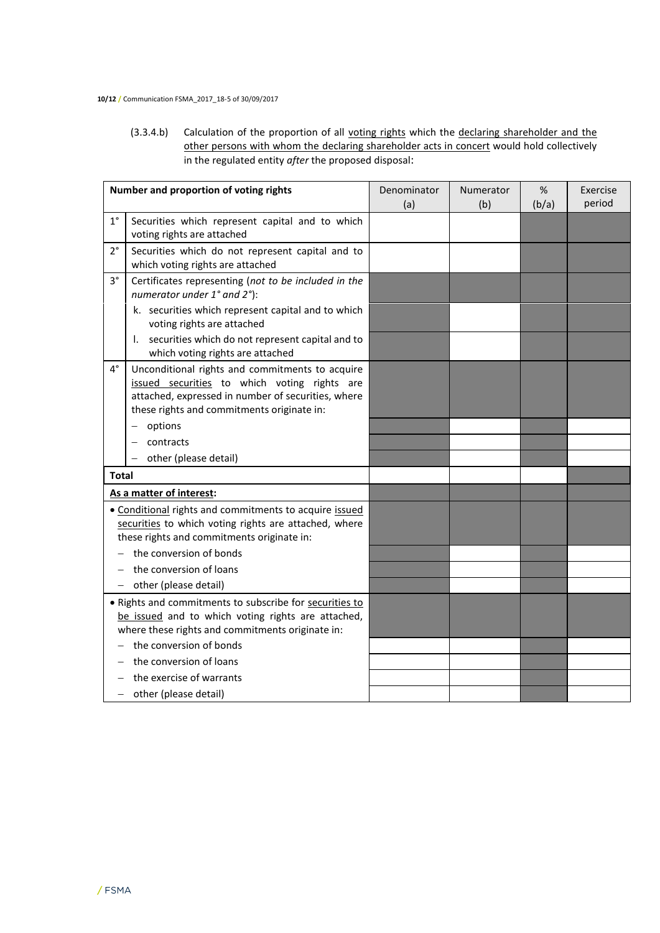(3.3.4.b) Calculation of the proportion of all voting rights which the declaring shareholder and the other persons with whom the declaring shareholder acts in concert would hold collectively in the regulated entity *after* the proposed disposal:

|              | Number and proportion of voting rights                                                                                                                                                              | Denominator | Numerator | $\%$  | Exercise<br>period |
|--------------|-----------------------------------------------------------------------------------------------------------------------------------------------------------------------------------------------------|-------------|-----------|-------|--------------------|
|              |                                                                                                                                                                                                     | (a)         | (b)       | (b/a) |                    |
| $1^{\circ}$  | Securities which represent capital and to which<br>voting rights are attached                                                                                                                       |             |           |       |                    |
| $2^{\circ}$  | Securities which do not represent capital and to<br>which voting rights are attached                                                                                                                |             |           |       |                    |
| $3^{\circ}$  | Certificates representing (not to be included in the<br>numerator under 1° and 2°):                                                                                                                 |             |           |       |                    |
|              | k. securities which represent capital and to which<br>voting rights are attached                                                                                                                    |             |           |       |                    |
|              | securities which do not represent capital and to<br>I.<br>which voting rights are attached                                                                                                          |             |           |       |                    |
| 4°           | Unconditional rights and commitments to acquire<br>issued securities to which voting rights are<br>attached, expressed in number of securities, where<br>these rights and commitments originate in: |             |           |       |                    |
|              | options                                                                                                                                                                                             |             |           |       |                    |
|              | contracts                                                                                                                                                                                           |             |           |       |                    |
|              | other (please detail)                                                                                                                                                                               |             |           |       |                    |
| <b>Total</b> |                                                                                                                                                                                                     |             |           |       |                    |
|              | As a matter of interest:                                                                                                                                                                            |             |           |       |                    |
|              | • Conditional rights and commitments to acquire issued<br>securities to which voting rights are attached, where<br>these rights and commitments originate in:                                       |             |           |       |                    |
|              | the conversion of bonds                                                                                                                                                                             |             |           |       |                    |
|              | the conversion of loans                                                                                                                                                                             |             |           |       |                    |
|              | - other (please detail)                                                                                                                                                                             |             |           |       |                    |
|              | . Rights and commitments to subscribe for securities to<br>be issued and to which voting rights are attached,<br>where these rights and commitments originate in:                                   |             |           |       |                    |
|              | the conversion of bonds                                                                                                                                                                             |             |           |       |                    |
|              | the conversion of loans                                                                                                                                                                             |             |           |       |                    |
|              | the exercise of warrants                                                                                                                                                                            |             |           |       |                    |
|              | - other (please detail)                                                                                                                                                                             |             |           |       |                    |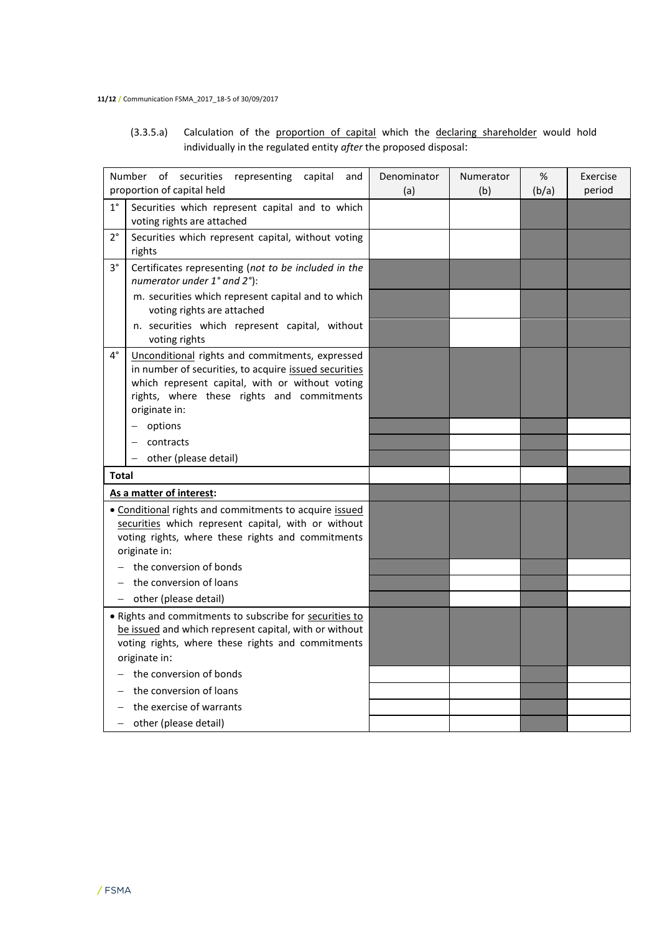### (3.3.5.a) Calculation of the proportion of capital which the declaring shareholder would hold individually in the regulated entity *after* the proposed disposal:

|             | Number of securities representing<br>capital<br>and                                                                                                                                                                        | Denominator | Numerator | %     | Exercise |
|-------------|----------------------------------------------------------------------------------------------------------------------------------------------------------------------------------------------------------------------------|-------------|-----------|-------|----------|
|             | proportion of capital held                                                                                                                                                                                                 | (a)         | (b)       | (b/a) | period   |
| $1^{\circ}$ | Securities which represent capital and to which<br>voting rights are attached                                                                                                                                              |             |           |       |          |
| $2^{\circ}$ | Securities which represent capital, without voting<br>rights                                                                                                                                                               |             |           |       |          |
| 3°          | Certificates representing (not to be included in the<br>numerator under 1° and 2°):                                                                                                                                        |             |           |       |          |
|             | m. securities which represent capital and to which<br>voting rights are attached                                                                                                                                           |             |           |       |          |
|             | n. securities which represent capital, without<br>voting rights                                                                                                                                                            |             |           |       |          |
| 4°          | Unconditional rights and commitments, expressed<br>in number of securities, to acquire issued securities<br>which represent capital, with or without voting<br>rights, where these rights and commitments<br>originate in: |             |           |       |          |
|             | options                                                                                                                                                                                                                    |             |           |       |          |
|             | contracts                                                                                                                                                                                                                  |             |           |       |          |
|             | other (please detail)                                                                                                                                                                                                      |             |           |       |          |
| Total       |                                                                                                                                                                                                                            |             |           |       |          |
|             | As a matter of interest:                                                                                                                                                                                                   |             |           |       |          |
|             | . Conditional rights and commitments to acquire issued<br>securities which represent capital, with or without<br>voting rights, where these rights and commitments<br>originate in:                                        |             |           |       |          |
|             | the conversion of bonds                                                                                                                                                                                                    |             |           |       |          |
|             | the conversion of loans                                                                                                                                                                                                    |             |           |       |          |
|             | other (please detail)                                                                                                                                                                                                      |             |           |       |          |
|             | . Rights and commitments to subscribe for securities to<br>be issued and which represent capital, with or without<br>voting rights, where these rights and commitments<br>originate in:                                    |             |           |       |          |
|             | the conversion of bonds                                                                                                                                                                                                    |             |           |       |          |
|             | the conversion of loans                                                                                                                                                                                                    |             |           |       |          |
|             | the exercise of warrants                                                                                                                                                                                                   |             |           |       |          |
| $-$         | other (please detail)                                                                                                                                                                                                      |             |           |       |          |